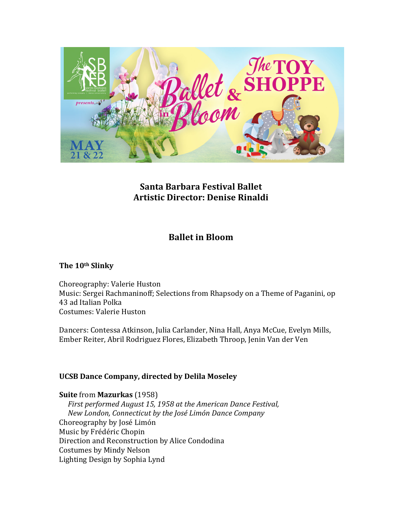

# **Santa Barbara Festival Ballet Artistic Director: Denise Rinaldi**

# **Ballet in Bloom**

## The 10<sup>th</sup> Slinky

Choreography: Valerie Huston Music: Sergei Rachmaninoff; Selections from Rhapsody on a Theme of Paganini, op 43 ad Italian Polka Costumes: Valerie Huston

Dancers: Contessa Atkinson, Julia Carlander, Nina Hall, Anya McCue, Evelyn Mills, Ember Reiter, Abril Rodriguez Flores, Elizabeth Throop, Jenin Van der Ven

## **UCSB Dance Company, directed by Delila Moseley**

#### **Suite** from **Mazurkas** (1958)

*First performed August 15, 1958 at the American Dance Festival, New London, Connecticut by the José Limón Dance Company* Choreography by José Limón Music by Frédéric Chopin Direction and Reconstruction by Alice Condodina Costumes by Mindy Nelson Lighting Design by Sophia Lynd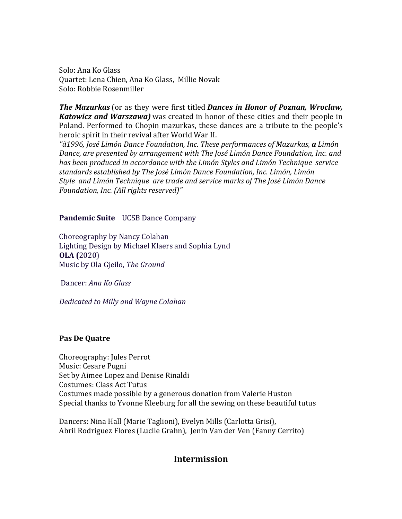Solo: Ana Ko Glass Quartet: Lena Chien, Ana Ko Glass, Millie Novak Solo: Robbie Rosenmiller

*The Mazurkas* (or as they were first titled *Dances* in *Honor of Poznan, Wroclaw, Katowicz and Warszawa)* was created in honor of these cities and their people in Poland. Performed to Chopin mazurkas, these dances are a tribute to the people's heroic spirit in their revival after World War II.

"ã1996, José Limón Dance Foundation, Inc. These performances of Mazurkas, **a** Limón *Dance, are presented by arrangement with The José Limón Dance Foundation, Inc. and* has been produced in accordance with the Limón Styles and Limón Technique service standards established by The José Limón Dance Foundation, Inc. Limón, Limón *Style and Limón Technique are trade and service marks of The José Limón Dance Foundation, Inc. (All rights reserved)"* 

#### **Pandemic Suite** UCSB Dance Company

Choreography by Nancy Colahan Lighting Design by Michael Klaers and Sophia Lynd **OLA (**2020) Music by Ola Gjeilo, *The Ground*

Dancer: *Ana Ko Glass*

**Dedicated to Milly and Wayne Colahan** 

#### **Pas De Quatre**

Choreography: Jules Perrot Music: Cesare Pugni Set by Aimee Lopez and Denise Rinaldi Costumes: Class Act Tutus Costumes made possible by a generous donation from Valerie Huston Special thanks to Yvonne Kleeburg for all the sewing on these beautiful tutus

Dancers: Nina Hall (Marie Taglioni), Evelyn Mills (Carlotta Grisi), Abril Rodriguez Flores (Luclle Grahn), Jenin Van der Ven (Fanny Cerrito)

# **Intermission**